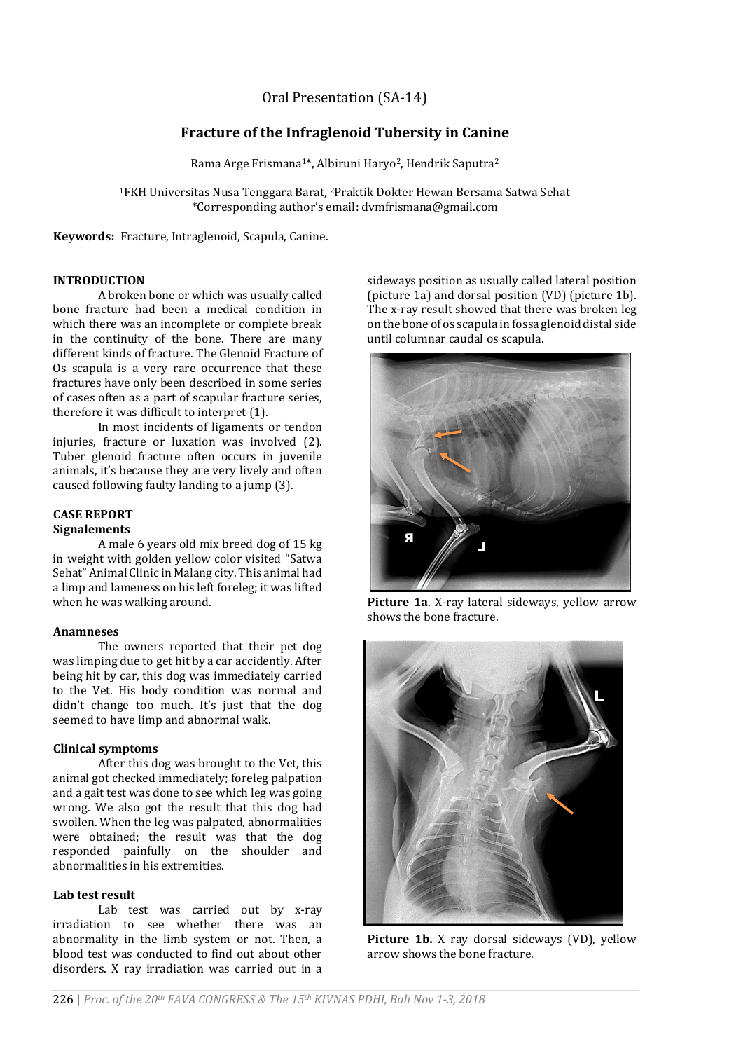# Oral Presentation (SA-14)

# **Fracture of the Infraglenoid Tubersity in Canine**

Rama Arge Frismana<sup>1\*</sup>, Albiruni Haryo<sup>2</sup>, Hendrik Saputra<sup>2</sup>

<sup>1</sup>FKH Universitas Nusa Tenggara Barat, 2Praktik Dokter Hewan Bersama Satwa Sehat \*Corresponding author's email: dvmfrismana@gmail.com

**Keywords:** Fracture, Intraglenoid, Scapula, Canine.

## **INTRODUCTION**

A broken bone or which was usually called bone fracture had been a medical condition in which there was an incomplete or complete break in the continuity of the bone. There are many different kinds of fracture. The Glenoid Fracture of Os scapula is a very rare occurrence that these fractures have only been described in some series of cases often as a part of scapular fracture series, therefore it was difficult to interpret (1).

In most incidents of ligaments or tendon injuries, fracture or luxation was involved (2). Tuber glenoid fracture often occurs in juvenile animals, it's because they are very lively and often caused following faulty landing to a jump (3).

# **CASE REPORT**

# **Signalements**

A male 6 years old mix breed dog of 15 kg in weight with golden yellow color visited "Satwa Sehat" Animal Clinic in Malang city. This animal had a limp and lameness on his left foreleg; it was lifted when he was walking around.

#### **Anamneses**

The owners reported that their pet dog was limping due to get hit by a car accidently. After being hit by car, this dog was immediately carried to the Vet. His body condition was normal and didn't change too much. It's just that the dog seemed to have limp and abnormal walk.

## **Clinical symptoms**

After this dog was brought to the Vet, this animal got checked immediately; foreleg palpation and a gait test was done to see which leg was going wrong. We also got the result that this dog had swollen. When the leg was palpated, abnormalities were obtained; the result was that the dog responded painfully on the shoulder and abnormalities in his extremities.

#### **Lab test result**

Lab test was carried out by x-ray irradiation to see whether there was an abnormality in the limb system or not. Then, a blood test was conducted to find out about other disorders. X ray irradiation was carried out in a sideways position as usually called lateral position (picture 1a) and dorsal position (VD) (picture 1b). The x-ray result showed that there was broken leg on the bone of os scapula in fossa glenoid distal side until columnar caudal os scapula.



**Picture 1a**. X-ray lateral sideways, yellow arrow shows the bone fracture.



**Picture 1b.** X ray dorsal sideways (VD), yellow arrow shows the bone fracture.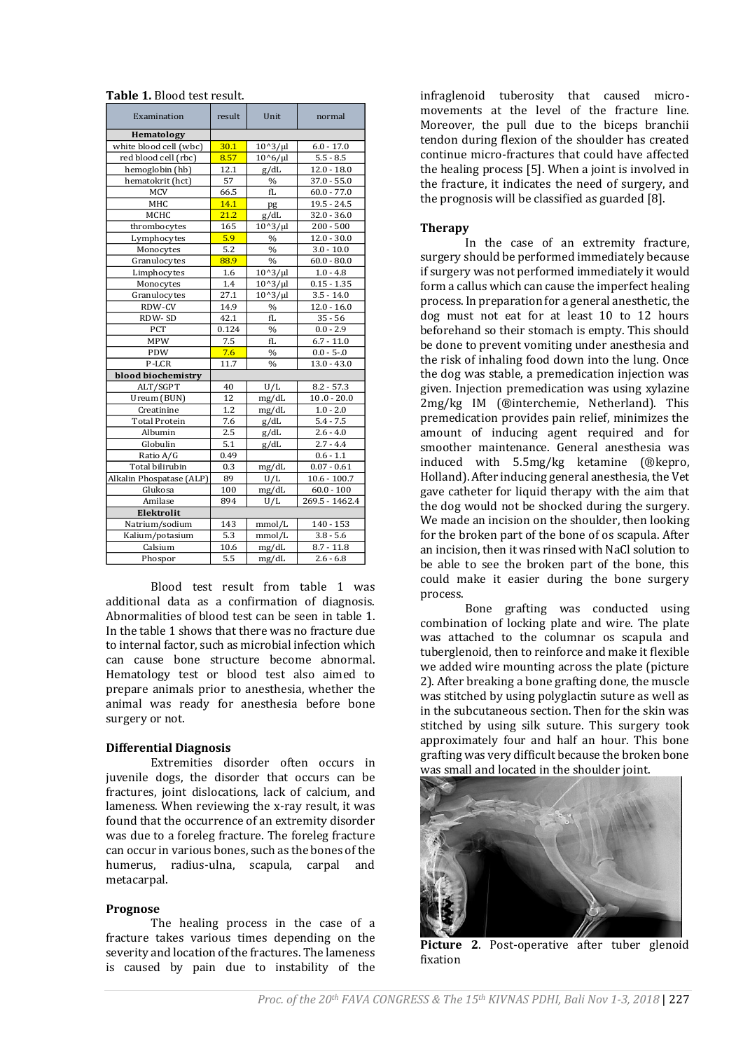| <b>Table 1.</b> Blood test result.                                                                                                                                                                                                                                                                                                                                                                                                                  |              |                       |                                      |     |
|-----------------------------------------------------------------------------------------------------------------------------------------------------------------------------------------------------------------------------------------------------------------------------------------------------------------------------------------------------------------------------------------------------------------------------------------------------|--------------|-----------------------|--------------------------------------|-----|
| Examination                                                                                                                                                                                                                                                                                                                                                                                                                                         | result       | Unit                  | normal                               |     |
|                                                                                                                                                                                                                                                                                                                                                                                                                                                     |              |                       |                                      |     |
| Hematology<br>white blood cell (wbc)                                                                                                                                                                                                                                                                                                                                                                                                                | 30.1         | $10^{3}/\mu$          | $6.0 - 17.0$                         |     |
| red blood cell (rbc)                                                                                                                                                                                                                                                                                                                                                                                                                                | 8.57         | $10^{6}/\mu$          | $5.5 - 8.5$                          |     |
| hemoglobin (hb)                                                                                                                                                                                                                                                                                                                                                                                                                                     | 12.1         | g/dL                  | $12.0 - 18.0$                        |     |
| hematokrit (hct)                                                                                                                                                                                                                                                                                                                                                                                                                                    | 57           | $\%$                  | $37.0 - 55.0$                        |     |
| <b>MCV</b><br>MHC                                                                                                                                                                                                                                                                                                                                                                                                                                   | 66.5<br>14.1 | fL<br>pg              | $60.0 - 77.0$<br>$19.5 - 24.5$       |     |
| MCHC                                                                                                                                                                                                                                                                                                                                                                                                                                                | 21.2         | g/dL                  | $32.0 - 36.0$                        |     |
| thrombocytes                                                                                                                                                                                                                                                                                                                                                                                                                                        | 165          | $10^{4}3/\mu$         | $200 - 500$                          |     |
| Lymphocytes                                                                                                                                                                                                                                                                                                                                                                                                                                         | 5.9          | $\%$                  | $12.0 - 30.0$                        |     |
| Monocytes                                                                                                                                                                                                                                                                                                                                                                                                                                           | 5.2          | $\%$                  | $3.0 - 10.0$                         |     |
| Granulocytes                                                                                                                                                                                                                                                                                                                                                                                                                                        | 88.9         | %                     | $60.0 - 80.0$                        |     |
| Limphocytes                                                                                                                                                                                                                                                                                                                                                                                                                                         | 1.6          | $10^{\circ}3/\mu l$   | $1.0 - 4.8$                          |     |
| Monocytes                                                                                                                                                                                                                                                                                                                                                                                                                                           | 1.4          | $10^{3}/\mu$          | $0.15 - 1.35$                        |     |
| Granulocytes<br>RDW-CV                                                                                                                                                                                                                                                                                                                                                                                                                              | 27.1<br>14.9 | $10^{4}3/\mu$<br>$\%$ | $3.5 - 14.0$<br>$12.0 - 16.0$        |     |
| RDW-SD                                                                                                                                                                                                                                                                                                                                                                                                                                              | 42.1         | fL                    | $35 - 56$                            |     |
| PCT                                                                                                                                                                                                                                                                                                                                                                                                                                                 | 0.124        | $\%$                  | $0.0 - 2.9$                          |     |
| <b>MPW</b>                                                                                                                                                                                                                                                                                                                                                                                                                                          | 7.5          | fL                    | $6.7 - 11.0$                         |     |
| PDW                                                                                                                                                                                                                                                                                                                                                                                                                                                 | 7.6          | $\%$                  | $0.0 - 5 - 0$                        |     |
| P-LCR                                                                                                                                                                                                                                                                                                                                                                                                                                               | 11.7         | $\%$                  | $13.0 - 43.0$                        |     |
| blood biochemistry                                                                                                                                                                                                                                                                                                                                                                                                                                  |              |                       |                                      |     |
| ALT/SGPT                                                                                                                                                                                                                                                                                                                                                                                                                                            | 40           | U/L                   | $8.2 - 57.3$                         |     |
| Ureum (BUN)                                                                                                                                                                                                                                                                                                                                                                                                                                         | 12           | mg/dL                 | $10.0 - 20.0$                        |     |
| Creatinine<br><b>Total Protein</b>                                                                                                                                                                                                                                                                                                                                                                                                                  | 1.2<br>7.6   | mg/dL<br>g/dL         | $1.0 - 2.0$<br>$5.4 - 7.5$           |     |
| Albumin                                                                                                                                                                                                                                                                                                                                                                                                                                             | 2.5          | g/dL                  | $2.6 - 4.0$                          |     |
| Globulin                                                                                                                                                                                                                                                                                                                                                                                                                                            | 5.1          | g/dL                  | $2.7 - 4.4$                          |     |
| Ratio A/G                                                                                                                                                                                                                                                                                                                                                                                                                                           | 0.49         |                       | $0.6 - 1.1$                          |     |
| Total bilirubin                                                                                                                                                                                                                                                                                                                                                                                                                                     | 0.3          | mg/dL                 | $0.07 - 0.61$                        |     |
| Alkalin Phospatase (ALP)                                                                                                                                                                                                                                                                                                                                                                                                                            | 89           | U/L                   | $10.6 - 100.7$                       |     |
| Glukosa                                                                                                                                                                                                                                                                                                                                                                                                                                             | 100          | mg/dL                 | $60.0 - 100$                         |     |
| Amilase                                                                                                                                                                                                                                                                                                                                                                                                                                             | 894          | U/L                   | 269.5 - 1462.4                       |     |
| Elektrolit<br>Natrium/sodium                                                                                                                                                                                                                                                                                                                                                                                                                        | 143          | mmol/L                | 140 - 153                            |     |
| Kalium/potasium                                                                                                                                                                                                                                                                                                                                                                                                                                     | 5.3          | mmol/L                | $3.8 - 5.6$                          |     |
| Calsium                                                                                                                                                                                                                                                                                                                                                                                                                                             | 10.6         | mg/dL                 | $8.7 - 11.8$                         |     |
| Phospor                                                                                                                                                                                                                                                                                                                                                                                                                                             | 5.5          | mg/dL                 | $2.6 - 6.8$                          |     |
| Blood test result from table<br>additional data as a confirmation of diagnosis.<br>Abnormalities of blood test can be seen in table 1.<br>In the table 1 shows that there was no fracture due<br>to internal factor, such as microbial infection which<br>bone<br>cause<br>can<br>Hematology test or blood test also aimed to<br>prepare animals prior to anesthesia, whether the<br>animal was ready for anesthesia before bone<br>surgery or not. |              |                       | 1 was<br>structure become abnormal.  |     |
| <b>Differential Diagnosis</b>                                                                                                                                                                                                                                                                                                                                                                                                                       |              |                       |                                      |     |
| Extremities disorder often occurs                                                                                                                                                                                                                                                                                                                                                                                                                   |              |                       |                                      | in  |
| juvenile dogs, the disorder that occurs can be<br>fractures, joint dislocations, lack of calcium, and                                                                                                                                                                                                                                                                                                                                               |              |                       |                                      |     |
| lameness. When reviewing the x-ray result, it was                                                                                                                                                                                                                                                                                                                                                                                                   |              |                       |                                      |     |
| found that the occurrence of an extremity disorder                                                                                                                                                                                                                                                                                                                                                                                                  |              |                       |                                      |     |
| was due to a foreleg fracture. The foreleg fracture                                                                                                                                                                                                                                                                                                                                                                                                 |              |                       |                                      |     |
| can occur in various bones, such as the bones of the                                                                                                                                                                                                                                                                                                                                                                                                |              |                       |                                      |     |
| humerus, radius-ulna, scapula, carpal<br>metacarpal.                                                                                                                                                                                                                                                                                                                                                                                                |              |                       |                                      | and |
|                                                                                                                                                                                                                                                                                                                                                                                                                                                     |              |                       |                                      |     |
| Prognose                                                                                                                                                                                                                                                                                                                                                                                                                                            |              |                       |                                      |     |
|                                                                                                                                                                                                                                                                                                                                                                                                                                                     |              |                       | The healing process in the case of a |     |
|                                                                                                                                                                                                                                                                                                                                                                                                                                                     |              |                       |                                      |     |
| fracture takes various times depending on the                                                                                                                                                                                                                                                                                                                                                                                                       |              |                       |                                      |     |
| severity and location of the fractures. The lameness                                                                                                                                                                                                                                                                                                                                                                                                |              |                       |                                      |     |
|                                                                                                                                                                                                                                                                                                                                                                                                                                                     |              |                       |                                      |     |

**Table 1. Blood test result** 

#### **Differential Diagnosis**

#### **Prognose**

The healing process in the case of a fracture takes various times depending on the severity and location of the fractures. The lameness is caused by pain due to instability of the

infraglenoid tuberosity that caused micromovements at the level of the fracture line. Moreover, the pull due to the biceps branchii tendon during flexion of the shoulder has created continue micro-fractures that could have affected the healing process [5]. When a joint is involved in the fracture, it indicates the need of surgery, and the prognosis will be classified as guarded [8].

#### **Therapy**

In the case of an extremity fracture, surgery should be performed immediately because if surgery was not performed immediately it would form a callus which can cause the imperfect healing process.In preparation for a general anesthetic, the dog must not eat for at least 10 to 12 hours beforehand so their stomach is empty. This should be done to prevent vomiting under anesthesia and the risk of inhaling food down into the lung. Once the dog was stable, a premedication injection was given. Injection premedication was using xylazine 2mg/kg IM (®interchemie, Netherland). This premedication provides pain relief, minimizes the amount of inducing agent required and for smoother maintenance. General anesthesia was induced with 5.5mg/kg ketamine (®kepro, Holland). After inducing general anesthesia, the Vet gave catheter for liquid therapy with the aim that the dog would not be shocked during the surgery. We made an incision on the shoulder, then looking for the broken part of the bone of os scapula. After an incision, then it was rinsed with NaCl solution to be able to see the broken part of the bone, this could make it easier during the bone surgery process.

Bone grafting was conducted using combination of locking plate and wire. The plate was attached to the columnar os scapula and tuberglenoid, then to reinforce and make it flexible we added wire mounting across the plate (picture 2). After breaking a bone grafting done, the muscle was stitched by using polyglactin suture as well as in the subcutaneous section. Then for the skin was stitched by using silk suture. This surgery took approximately four and half an hour. This bone grafting was very difficult because the broken bone was small and located in the shoulder joint.



**Picture 2**. Post-operative after tuber glenoid